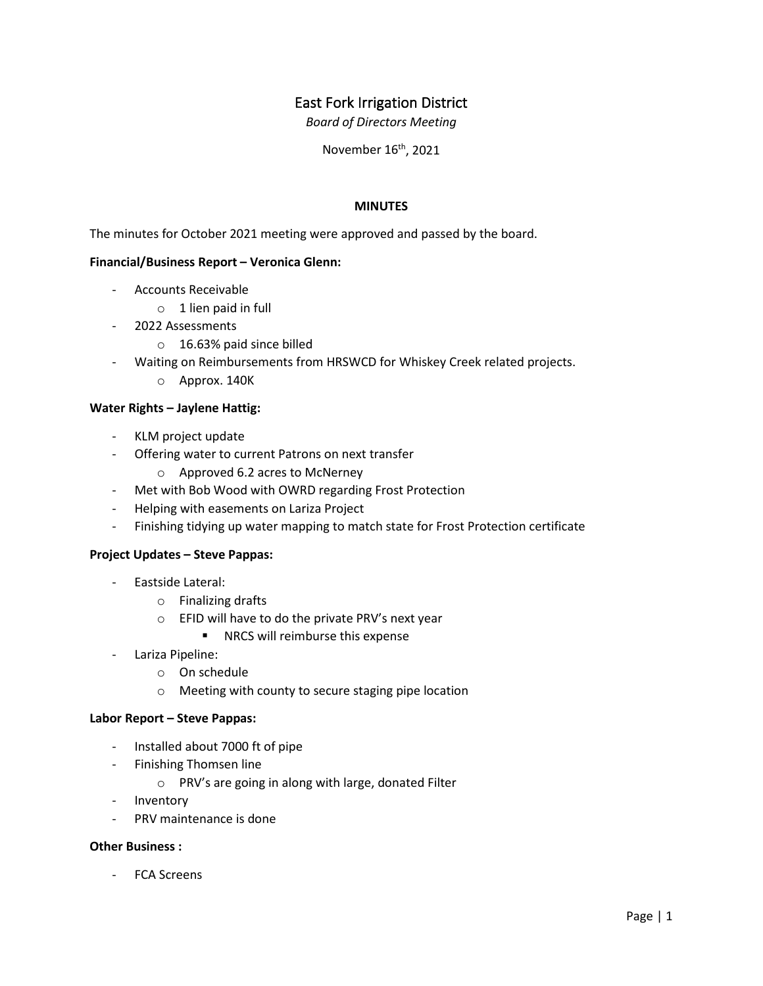# East Fork Irrigation District

*Board of Directors Meeting*

November 16<sup>th</sup>, 2021

## **MINUTES**

The minutes for October 2021 meeting were approved and passed by the board.

## **Financial/Business Report – Veronica Glenn:**

- Accounts Receivable
	- $\circ$  1 lien paid in full
- 2022 Assessments
	- o 16.63% paid since billed
- Waiting on Reimbursements from HRSWCD for Whiskey Creek related projects.
	- o Approx. 140K

#### **Water Rights – Jaylene Hattig:**

- KLM project update
- Offering water to current Patrons on next transfer
	- o Approved 6.2 acres to McNerney
- Met with Bob Wood with OWRD regarding Frost Protection
- Helping with easements on Lariza Project
- Finishing tidying up water mapping to match state for Frost Protection certificate

#### **Project Updates – Steve Pappas:**

- Eastside Lateral:
	- o Finalizing drafts
	- o EFID will have to do the private PRV's next year
		- **NRCS** will reimburse this expense
- Lariza Pipeline:
	- o On schedule
	- o Meeting with county to secure staging pipe location

#### **Labor Report – Steve Pappas:**

- Installed about 7000 ft of pipe
- Finishing Thomsen line
	- o PRV's are going in along with large, donated Filter
- Inventory
- PRV maintenance is done

### **Other Business :**

- FCA Screens